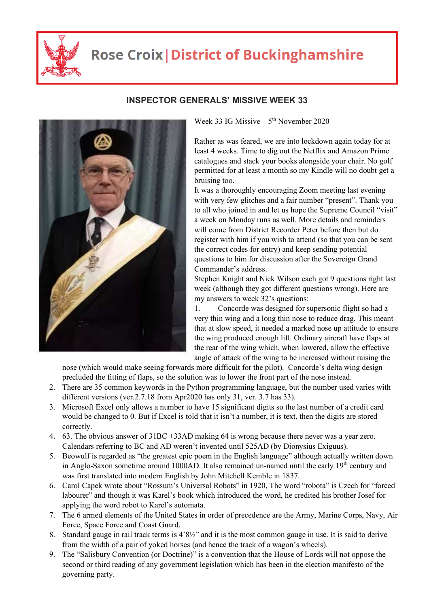

## **Rose Croix | District of Buckinghamshire**



## **INSPECTOR GENERALS' MISSIVE WEEK 33**

Week 33 IG Missive –  $5<sup>th</sup>$  November 2020

Rather as was feared, we are into lockdown again today for at least 4 weeks. Time to dig out the Netflix and Amazon Prime catalogues and stack your books alongside your chair. No golf permitted for at least a month so my Kindle will no doubt get a bruising too.

It was a thoroughly encouraging Zoom meeting last evening with very few glitches and a fair number "present". Thank you to all who joined in and let us hope the Supreme Council "visit" a week on Monday runs as well. More details and reminders will come from District Recorder Peter before then but do register with him if you wish to attend (so that you can be sent the correct codes for entry) and keep sending potential questions to him for discussion after the Sovereign Grand Commander's address.

Stephen Knight and Nick Wilson each got 9 questions right last week (although they got different questions wrong). Here are my answers to week 32's questions:

1. Concorde was designed for supersonic flight so had a very thin wing and a long thin nose to reduce drag. This meant that at slow speed, it needed a marked nose up attitude to ensure the wing produced enough lift. Ordinary aircraft have flaps at the rear of the wing which, when lowered, allow the effective angle of attack of the wing to be increased without raising the

nose (which would make seeing forwards more difficult for the pilot). Concorde's delta wing design precluded the fitting of flaps, so the solution was to lower the front part of the nose instead.

- 2. There are 35 common keywords in the Python programming language, but the number used varies with different versions (ver.2.7.18 from Apr2020 has only 31, ver. 3.7 has 33).
- 3. Microsoft Excel only allows a number to have 15 significant digits so the last number of a credit card would be changed to 0. But if Excel is told that it isn't a number, it is text, then the digits are stored correctly.
- 4. 63. The obvious answer of 31BC +33AD making 64 is wrong because there never was a year zero. Calendars referring to BC and AD weren't invented until 525AD (by Dionysius Exiguus).
- 5. Beowulf is regarded as "the greatest epic poem in the English language" although actually written down in Anglo-Saxon sometime around 1000AD. It also remained un-named until the early  $19<sup>th</sup>$  century and was first translated into modern English by John Mitchell Kemble in 1837.
- 6. Carol Capek wrote about "Rossum's Universal Robots" in 1920, The word "robota" is Czech for "forced labourer" and though it was Karel's book which introduced the word, he credited his brother Josef for applying the word robot to Karel's automata.
- 7. The 6 armed elements of the United States in order of precedence are the Army, Marine Corps, Navy, Air Force, Space Force and Coast Guard.
- 8. Standard gauge in rail track terms is 4'8½" and it is the most common gauge in use. It is said to derive from the width of a pair of yoked horses (and hence the track of a wagon's wheels).
- 9. The "Salisbury Convention (or Doctrine)" is a convention that the House of Lords will not oppose the second or third reading of any government legislation which has been in the election manifesto of the governing party.